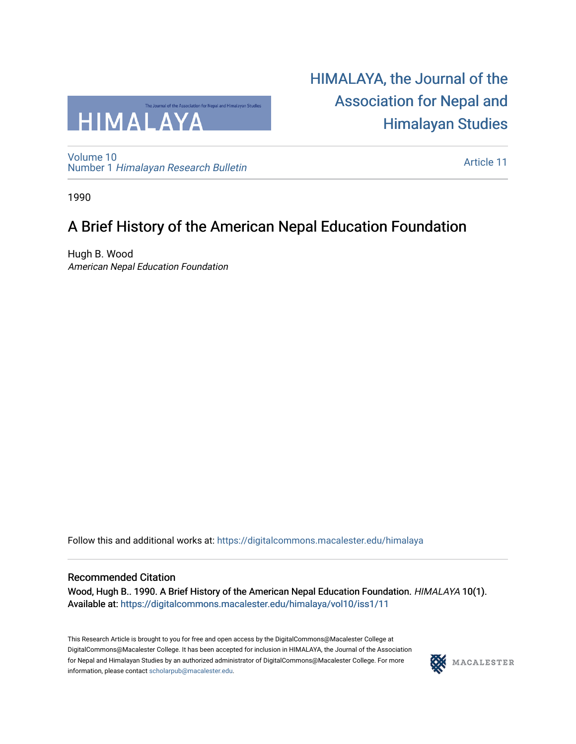

[Volume 10](https://digitalcommons.macalester.edu/himalaya/vol10) Number 1 [Himalayan Research Bulletin](https://digitalcommons.macalester.edu/himalaya/vol10/iss1) [HIMALAYA, the Journal of the](https://digitalcommons.macalester.edu/himalaya)  [Association for Nepal and](https://digitalcommons.macalester.edu/himalaya)  [Himalayan Studies](https://digitalcommons.macalester.edu/himalaya) 

[Article 11](https://digitalcommons.macalester.edu/himalaya/vol10/iss1/11) 

1990

# A Brief History of the American Nepal Education Foundation

Hugh B. Wood American Nepal Education Foundation

Follow this and additional works at: [https://digitalcommons.macalester.edu/himalaya](https://digitalcommons.macalester.edu/himalaya?utm_source=digitalcommons.macalester.edu%2Fhimalaya%2Fvol10%2Fiss1%2F11&utm_medium=PDF&utm_campaign=PDFCoverPages)

# Recommended Citation

Wood, Hugh B.. 1990. A Brief History of the American Nepal Education Foundation. HIMALAYA 10(1). Available at: https:/[/digitalcommons.macalester.edu/himala](https://digitalcommons.macalester.edu/himalaya/vol10/iss1/11?utm_source=digitalcommons.macalester.edu%2Fhimalaya%2Fvol10%2Fiss1%2F11&utm_medium=PDF&utm_campaign=PDFCoverPages)ya/vol10/iss1/11

This Research Article is brought to you for free and open access by the DigitalCommons@Macalester College at DigitalCommons@Macalester College. It has been accepted for inclusion in HIMALAYA, the Journal of the Association for Nepal and Himalayan Studies by an authorized administrator of DigitalCommons@Macalester College. For more information, please contact [scholarpub@macalester.edu](mailto:scholarpub@macalester.edu).

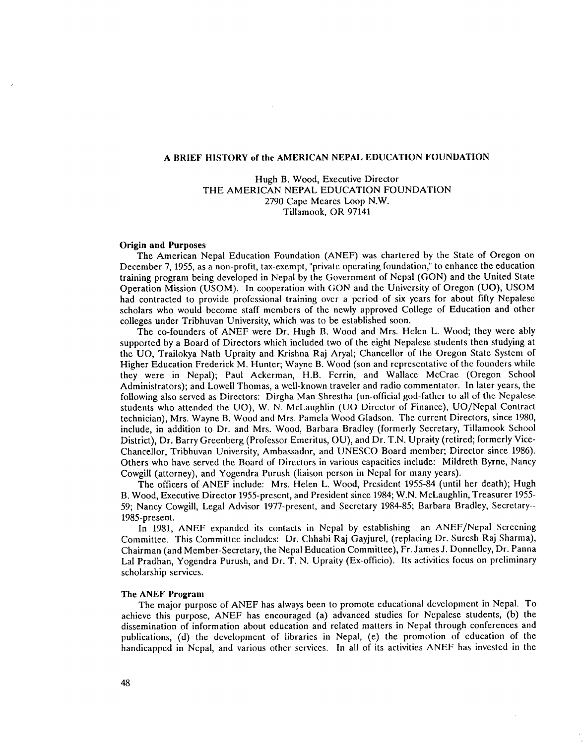### A BRIEF HISTORY of the AMERICAN NEPAL EDUCATION FOUNDATION

Hugh B. Wood, Executive Director THE AMERICAN NEPAL EDUCATION FOUNDATION 2790 Cape Meares Loop N.W. Tillamook, OR 97141

#### Origin and Purposes

The American Nepal Education Foundation (ANEF) was chartered by the State of Oregon on December 7, 1955, as a non-profit, tax-exempt, "private operating foundation," to enhance the education training program being developed in Nepal by the Government of Nepal (GON) and the United State Operation Mission (USOM). In cooperation with GON and the University of Oregon (UO), USOM had contracted to provide professional training over a period of six years for about fifty Nepalese scholars who would become staff members of the newly approved College of Education and other colleges under Tribhuvan University, which was to be established soon.

The co-founders of ANEF were Dr. Hugh B. Wood and Mrs. Helen L. Wood; they were ably supported by a Board of Directors which included two of the eight Nepalese students then studying at the UO, Trailokya Nath Upraity and Krishna Raj Aryal; Chancellor of the Oregon State System of Higher Education Frederick M. Hunter; Wayne B. Wood (son and representative of the founders while they were in Nepal); Paul Ackerman, H.B. Ferrin, and Wallace McCrae (Oregon School Administrators); and Lowell Thomas, a well-known traveler and radio commentator. In later years, the following also served as Directors: Dirgha Man Shrestha (un-official god-father to all of the Nepalese students who attended the UO), W. N. McLaughlin (UO Director of Finance), UO/Nepal Contract technician), Mrs. Wayne B. Wood and Mrs. Pamela Wood Gladson. The current Directors, since 1980, include, in addition to Dr. and Mrs. Wood, Barbara Bradley (formerly Secretary, Tillamook School District), Dr. Barry Greenberg (Professor Emeritus, OU), and Dr. T.N. Upraity (retired; formerly Vice-Chancellor, Tribhuvan University, Ambassador, and UNESCO Board member; Director since 1986). Others who have served the Board of Directors in various capacities include: Mildreth Byrne, Nancy Cowgill (attorney), and Yogendra Purush (liaison person in Nepal for many years).

The officers of ANEF include: Mrs. Helen L. Wood, President 1955-84 (until her death); Hugh B. Wood, Executive Director 1955-present, and President since 1984; W.N. McLaughlin, Treasurer 1955- 59; Nancy Cowgill, Legal Advisor 1977-present, and Secretary 1984-85; Barbara Bradley, Secretary-- 1985-present.

In 1981, ANEF expanded its contacts in Nepal by establishing an ANEF/Nepal Screening Committee. This Committee includes: Dr. Chhabi Raj Gayjurel, (replacing Dr. Suresh Raj Sharma), Chairman (and Member-Secretary, the Nepal Education Committee), Fr. James J. Donnelley, Dr. Panna Lal Pradhan, Yogendra Purush, and Dr. T. N. Upraity (Ex-officio). Its activities focus on preliminary scholarship services.

### The ANEF Program

The major purpose of ANEF has always been to promote educational development in Nepal. To achieve this purpose, ANEF has encouraged (a) advanced studies for Nepalese students, (b) the dissemination of information about education and related matters in Nepal through conferences and publications, (d) the development of libraries in Nepal, (e) the promotion of education of the handicapped in Nepal, and various other services. In all of its activities ANEF has invested in the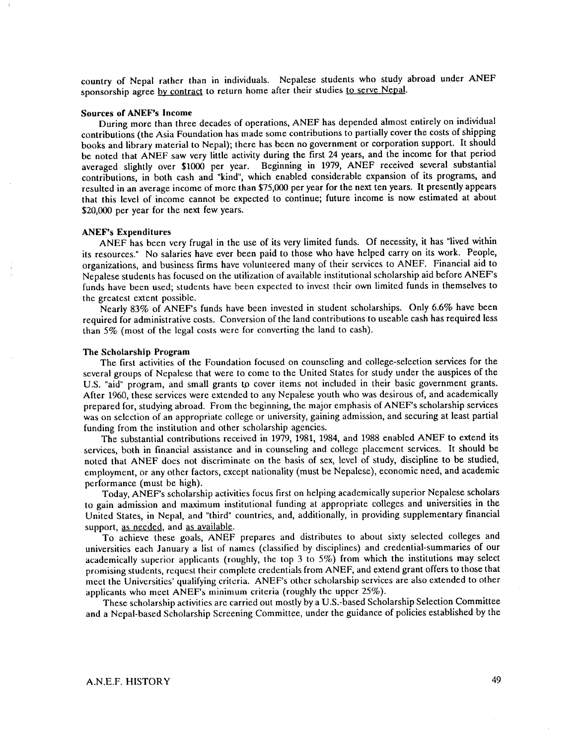country of Nepal rather than in individuals. Nepalese students who study abroad under ANEF sponsorship agree by contract to return home after their studies to serve Nepal.

#### Sources of ANEF's Income

During more than three decades of operations, ANEF has depended almost entirely on individual contributions (the Asia Foundation has made some contributions to partially cover the costs of shipping books and library material to Nepal); there has been no government or corporation support. It should be noted that ANEF saw very little activity during the first 24 years, and the income for that period averaged slightly over \$1000 per year. Beginning in 1979, ANEF received several substantial contributions, in both cash and "kind", which enabled considerable expansion of its programs, and resulted in an average income of more than \$75,000 per year for the next ten years. It presently appears that this level of income cannot be expected to continue; future income is now estimated at about \$20,000 per year for the next few years.

### ANEF's Expenditures

ANEF has been very frugal in the use of its very limited funds. Of necessity, it has "lived within its resources." No salaries have ever been paid to those who have helped carryon its work. People, organizations, and business firms have volunteered many of their services to ANEF. Financial aid to Nepalese students has focused on the utilization of available institutional scholarship aid before ANEF's funds have been used; students have been expected to invest their own limited funds in themselves to the greatest extent possible.

Nearly 83% of ANEF's funds have been invested in student scholarships. Only 6.6% have been required for administrative costs. Conversion of the land contributions to useable cash has required less than 5% (most of the legal costs were for converting the land to cash).

### The Scholarship Program

The first activities of the Foundation focused on counseling and college-selection services for the several groups of Nepalese that were to come to the United States for study under the auspices of the U.S. "aid" program, and small grants to cover items not included in their basic government grants. After 1960, these services were extended to any Nepalese youth who was desirous of, and academically prepared for, studying abroad. From the beginning, the major emphasis of ANEF's scholarship services was on selection of an appropriate college or university, gaining admission, and securing at least partial funding from the institution and other scholarship agencies.

The substantial contributions received in 1979, 1981, 1984, and 1988 enabled ANEF to extend its services, both in financial assistance and in counseling and college placement services. It should be noted that ANEF does not discriminate on the basis of sex, level of study, discipline to be studied, employment, or any other factors, except nationality (must be Nepalese), economic need, and academic performance (must be high).

Today, ANEF's scholarship activities focus first on helping academically superior Nepalese scholars to gain admission and maximum institutional funding at appropriate colleges and universities in the United States, in Nepal, and "third" countries, and, additionally, in providing supplementary financial support, as needed, and as available.

To achieve these goals, ANEF prepares and distributes to about sixty selected colleges and universities each January a list of names (classified by disciplines) and credential-summaries of our academically superior applicants (roughly, the top 3 to 5%) from which the institutions may select promising students, request their complete credentials from ANEF, and extend grant offers to those that meet the Univcrsitics' qualifying critcria. ANEF's other scholarship services are also extended to other applicants who meet ANEF's minimum criteria (roughly the upper 25%).

These scholarship activities are carried out mostly by a U.S.-based Scholarship Selection Committee and a Nepal-based Scholarship Screening Committee, under the guidance of policies established by the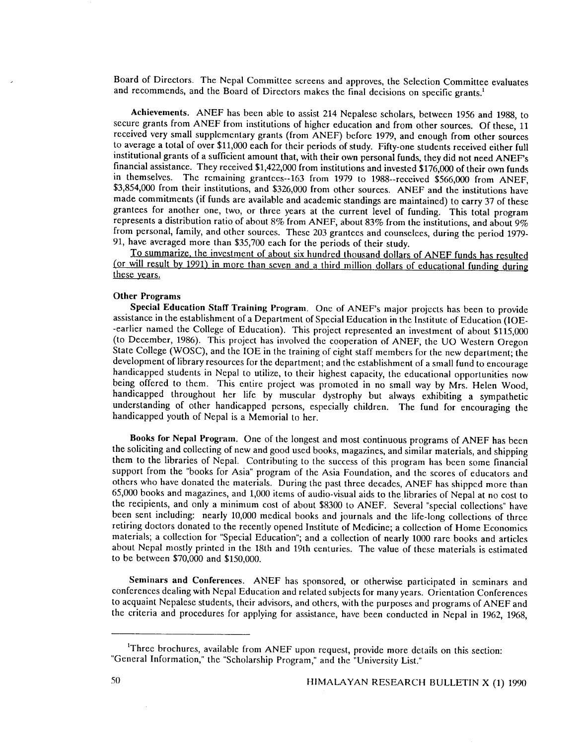Board of Directors. The Nepal Committee screens and approves, the Selection Committee evaluates and recommends, and the Board of Directors makes the final decisions on specific grants.<sup>1</sup>

Achievements. ANEF has been able to assist 214 Nepalese scholars, between 1956 and 1988, to secure grants from ANEF from institutions of higher education and from other sources. Of these, 11 received very small supplementary grants (from ANEF) before 1979, and enough from other sources to average a total of over \$11,000 each for their periods of study. Fifty-one students received either full institutional grants of a sufficient amount that, with their own personal funds, they did not need ANEF's financial assistance. They received \$1,422,000 from institutions and invested \$176,000 of their own funds in themselves. The remaining grantees--163 from 1979 to 1988--received \$566,000 from ANEF, \$3,854,000 from their institutions, and \$326,000 from other sources. ANEF and the institutions have made commitments (if funds are available and academic standings are maintained) to carry 37 of these grantees for another one, two, or three years at the current level of funding. This total program represents a distribution ratio of about 8% from ANEF, about 83% from the institutions, and about 9% from personal, family, and other sources. These 203 grantces and counselces, during the period 1979- 91, have averaged more than \$35,700 each for the periods of their study.

To summarize, the investment of about six hundred thousand dollars of ANEF funds has resulted (or will result by 1991) in more than seven and a third million dollars of educational funding during these years.

## Other Programs

Special Education Staff Training Program. One of ANEF's major projects has been to provide assistance in the establishment of a Department of Special Education in the Institute of Education (IOE- -earlier named the College of Education). This project represented an investment of about \$115,000 (to December, 1986). This project has involved the cooperation of ANEF, the UO Western Oregon State College (WOSC), and the IOE in the training of eight staff members for the new department; the development of library resources for the department; and the establishment of a small fund to encourage handicapped students in Nepal to utilize, to their highest capacity, the educational opportunities now being offered to them. This entire project was promoted in no small way by Mrs. Helen Wood, handicapped throughout her life by muscular dystrophy but always exhibiting a sympathetic understanding of other handicapped persons, especially children. The fund for encouraging the handicapped youth of Nepal is a Memorial to her.

Books for Nepal Program. One of the longest and most continuous programs of ANEF has been the soliciting and collecting of new and good used books, magazines, and similar materials, and shipping them to the libraries of Nepal. Contributing to the success of this program has been some financial support from the "books for Asia" program of the Asia Foundation, and the scores of educators and others who have donated the materials. During the past three decades, ANEF has shipped more than 65,000 books and magazines, and 1,000 items of audio-visual aids to the libraries of Nepal at no cost to the recipients, and only a minimum cost of about \$8300 to ANEF. Several "special collections" have been sent including: nearly 10,000 medical books and journals and the life-long collections of three retiring doctors donated to the recently opened Institute of Medicine; a collection of Home Economics materials; a collection for "Special Education"; and a collection of nearly 1000 rare books and articles about Nepal mostly printed in the 18th and 19th centuries. The value of these materials is estimated to be between \$70,000 and \$150,000.

Seminars and Conferences. ANEF has sponsored, or otherwise participated in seminars and conferences dealing with Nepal Education and related subjects for many years. Orientation Conferences to acquaint Nepalese students, their advisors, and others, with the purposes and programs of ANEF and the criteria and procedures for applying for assistance, have been conducted in Nepal in 1962, 1968,

 $\bar{z}$ 

<sup>&</sup>lt;sup>1</sup>Three brochures, available from ANEF upon request, provide more details on this section: "General Information," the "Scholarship Program," and the "University List."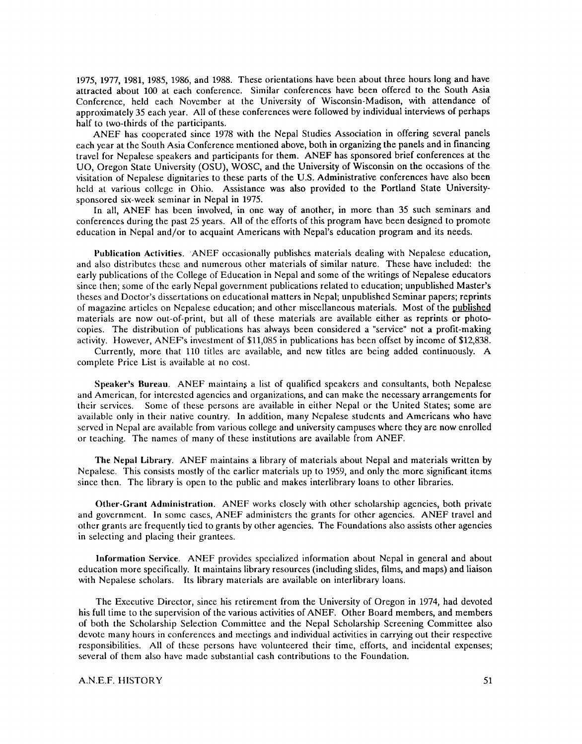1975, 1977, 1981, 1985, 1986, and 1988. These orientations have been about three hours long and have attracted about 100 at each conference. Similar conferences have been offered to the South Asia Conference, held each November at the University of Wisconsin-Madison, with attendance of approximately 35 each year. All of these conferences were followed by individual interviews of perhaps half to two-thirds of the participants.

ANEF has cooperated since 1978 with the Nepal Studies Association in offering several panels each year at the South Asia Conference mentioned above, both in organizing the panels and in financing travel for Nepalese speakers and participants for them. ANEF has sponsored brief conferences at the UO, Oregon State University (OSU), WOSC, and the University of Wisconsin on the occasions of the visitation of Nepalese dignitaries to these parts of the U.S. Administrative conferences have also been held at various college in Ohio. Assistance was also provided to the Portland State Universitysponsored six-week seminar in Nepal in 1975.

In all, ANEF has been involved, in one way of another, in more than 35 such seminars and conferences during the past 25 years. All of the efforts of this program have been designed to promote education in Nepal and/or to acquaint Americans with Nepal's education program and its needs.

Publication Activities. ANEF occasionally publishes materials dealing with Nepalese education, and also distributes these and numerous other materials of similar nature. These have included: the early publications of the College of Education in Nepal and some of the writings of Nepalese educators since then; some of the early Nepal government publications related to education; unpublished Master's theses and Doctor's dissertations on educational matters in Nepal; unpublished Seminar papers; reprints of magazine articles on Nepalese education; and other miscellaneous materials. Most of the published materials are now out-of-print, but all of these materials are available either as reprints or photocopies. The distribution of publications has always been considered a "service" not a profit-making activity. However, ANEF's investment of \$11,085 in publications has been offset by income of \$12,838.

Currently, more that 110 titles are available, and new titles are being added continuously. A complete Price List is available at no cost.

Speaker's Bureau. ANEF maintains a list of qualified speakers and consultants, both Nepalese and American, for interested agencies and organizations, and can make the necessary arrangements for their services. Some of these persons are available in either Nepal or the United States; some are available only in their native country. In addition, many Nepalese students and Americans who have served in Nepal are available from various college and university campuses where they are now enrolled or teaching. The names of many of these institutions are available from ANEF.

The Nepal Library. ANEF maintains a library of materials about Nepal and materials written by Nepalese. This consists mostly of the earlier materials up to 1959, and only the more significant items since then. The library is open to the public and makes interlibrary loans to other libraries.

Other-Grant Administration. ANEF works closely with other scholarship agencies, both private and government. In some cases, ANEF administers the grants for other agencies. ANEF travel and other grants are frequently tied to grants by other agencies. The Foundations also assists other agencies in selecting and placing their grantees.

Information Service. ANEF provides specialized information about Nepal in general and about education more specifically. It maintains library resources (including slides, films, and maps) and liaison with Nepalese scholars. Its library materials are available on interlibrary loans.

The Executive Director, since his retirement from the University of Oregon in 1974, had devoted his full time to the supervision of the various activities of ANEF. Other Board members, and members of both the Scholarship Selection Committee and the Nepal Scholarship Screening Committee also devote many hours in conferences and meetings and individual activities in carrying out their respective responsibilities. All of these persons have volunteered their time, efforts, and incidental expenses; several of them also have made substantial cash contributions to the Foundation.